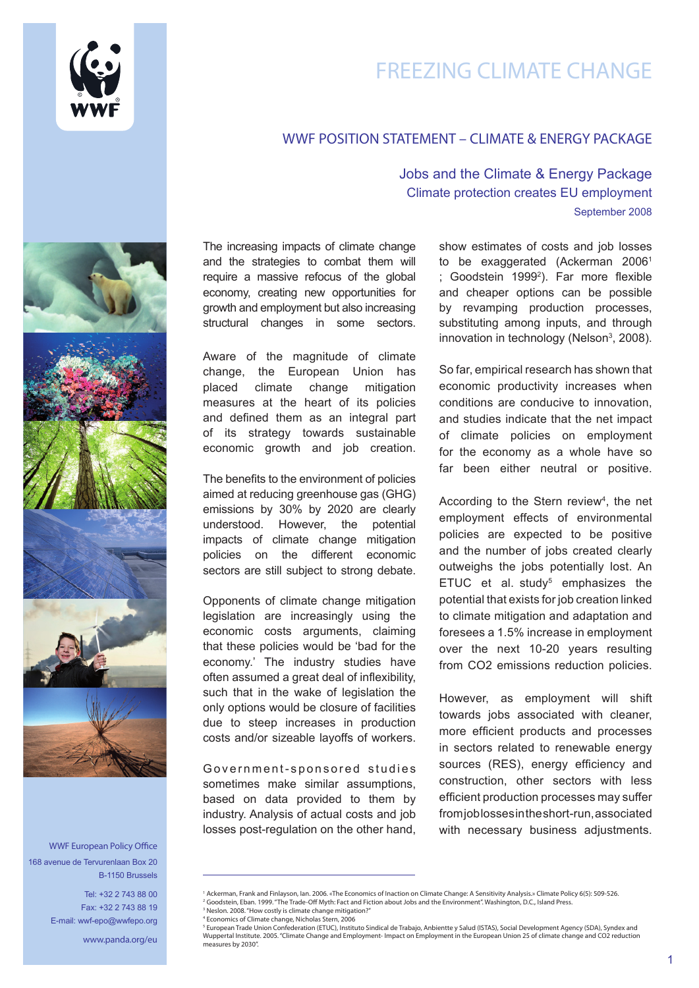

# FREEZING CLIMATE CHANGE

## WWF POSITION STATEMENT – CLIMATE & ENERGY PACKAGE

WWF European Policy Office 168 avenue de Tervurenlaan Box 20 B-1150 Brussels

> Tel: +32 2 743 88 00 Fax: +32 2 743 88 19 E-mail: wwf-epo@wwfepo.org

> > www.panda.org/eu

The increasing impacts of climate change and the strategies to combat them will require a massive refocus of the global economy, creating new opportunities for growth and employment but also increasing structural changes in some sectors.

Aware of the magnitude of climate change, the European Union has placed climate change mitigation measures at the heart of its policies and defined them as an integral part of its strategy towards sustainable economic growth and job creation.

The benefits to the environment of policies aimed at reducing greenhouse gas (GHG) emissions by 30% by 2020 are clearly understood. However, the potential impacts of climate change mitigation policies on the different economic sectors are still subject to strong debate.

Opponents of climate change mitigation legislation are increasingly using the economic costs arguments, claiming that these policies would be 'bad for the economy.' The industry studies have often assumed a great deal of inflexibility, such that in the wake of legislation the only options would be closure of facilities due to steep increases in production costs and/or sizeable layoffs of workers.

Government-sponsored studies sometimes make similar assumptions, based on data provided to them by industry. Analysis of actual costs and job losses post-regulation on the other hand,

## Jobs and the Climate & Energy Package Climate protection creates EU employment September 2008

show estimates of costs and job losses to be exaggerated (Ackerman 2006<sup>1</sup> ; Goodstein 19992 ). Far more flexible and cheaper options can be possible by revamping production processes, substituting among inputs, and through innovation in technology (Nelson $3$ , 2008).

So far, empirical research has shown that economic productivity increases when conditions are conducive to innovation, and studies indicate that the net impact of climate policies on employment for the economy as a whole have so far been either neutral or positive.

According to the Stern review<sup>4</sup>, the net employment effects of environmental policies are expected to be positive and the number of jobs created clearly outweighs the jobs potentially lost. An ETUC et al. study $5$  emphasizes the potential that exists for job creation linked to climate mitigation and adaptation and foresees a 1.5% increase in employment over the next 10-20 years resulting from CO2 emissions reduction policies.

However, as employment will shift towards jobs associated with cleaner, more efficient products and processes in sectors related to renewable energy sources (RES), energy efficiency and construction, other sectors with less efficient production processes may suffer from job losses in the short-run, associated with necessary business adjustments.

<sup>&</sup>lt;sup>1</sup> Ackerman, Frank and Finlayson, Ian. 2006. «The Economics of Inaction on Climate Change: A Sensitivity Analysis.» Climate Policy 6(5): 509-526 <sup>2</sup> Goodstein, Eban. 1999. "The Trade-Off Myth: Fact and Fiction about Jobs and the Environment". Washington, D.C., Island Press

<sup>3</sup> Neslon. 2008. "How costly is climate change mitigation?" 4 Economics of Climate change, Nicholas Stern, 2006

<sup>&</sup>lt;sup>5</sup> European Trade Union Confederation (ETUC), Instituto Sindical de Trabajo, Anbientte y Salud (ISTAS), Social Development Agency (SDA), Syndex and Wuppertal Institute. 2005. "Climate Change and Employment- Impact on Employment in the European Union 25 of climate change and CO2 reduction measures by 2030".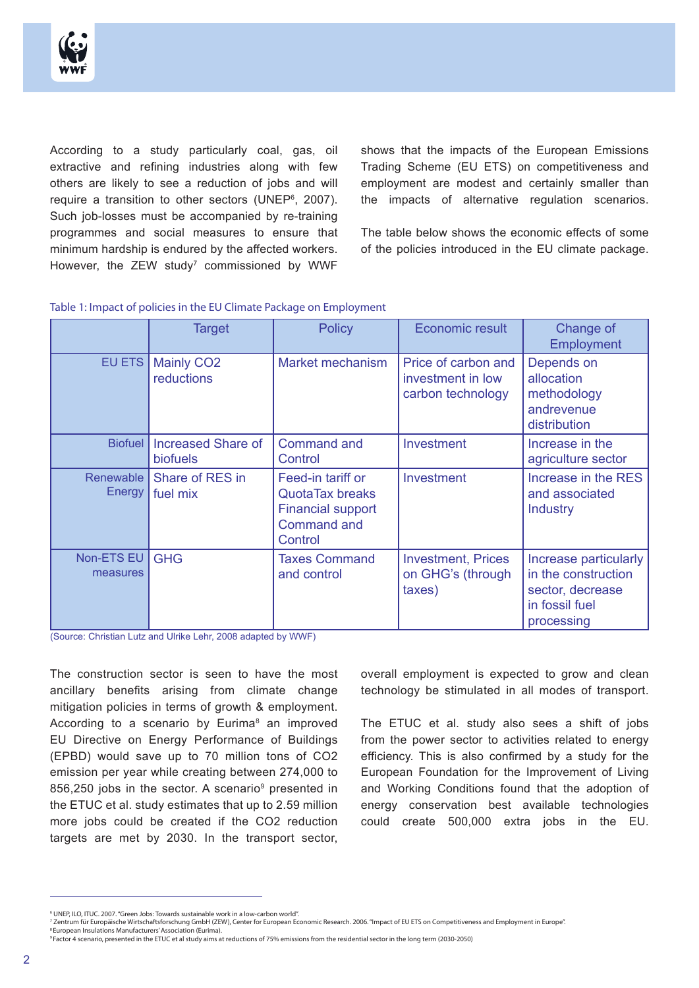

According to a study particularly coal, gas, oil extractive and refining industries along with few others are likely to see a reduction of jobs and will require a transition to other sectors (UNEP<sup>6</sup>, 2007). Such job-losses must be accompanied by re-training programmes and social measures to ensure that minimum hardship is endured by the affected workers. However, the ZEW study<sup>7</sup> commissioned by WWF shows that the impacts of the European Emissions Trading Scheme (EU ETS) on competitiveness and employment are modest and certainly smaller than the impacts of alternative regulation scenarios.

The table below shows the economic effects of some of the policies introduced in the EU climate package.

#### Table 1: Impact of policies in the EU Climate Package on Employment

|                        | <b>Target</b>                         | <b>Policy</b>                                                                                            | Economic result                                               | Change of<br>Employment                                                                          |
|------------------------|---------------------------------------|----------------------------------------------------------------------------------------------------------|---------------------------------------------------------------|--------------------------------------------------------------------------------------------------|
| EU ETS                 | <b>Mainly CO2</b><br>reductions       | Market mechanism                                                                                         | Price of carbon and<br>investment in low<br>carbon technology | Depends on<br>allocation<br>methodology<br>andrevenue<br>distribution                            |
| <b>Biofuel</b>         | Increased Share of<br><b>biofuels</b> | <b>Command and</b><br>Control                                                                            | Investment                                                    | Increase in the<br>agriculture sector                                                            |
| Renewable  <br>Energy  | Share of RES in<br>fuel mix           | Feed-in tariff or<br><b>QuotaTax breaks</b><br><b>Financial support</b><br><b>Command and</b><br>Control | Investment                                                    | Increase in the RES<br>and associated<br><b>Industry</b>                                         |
| Non-ETS EU<br>measures | <b>GHG</b>                            | <b>Taxes Command</b><br>and control                                                                      | <b>Investment, Prices</b><br>on GHG's (through<br>taxes)      | Increase particularly<br>in the construction<br>sector, decrease<br>in fossil fuel<br>processing |

(Source: Christian Lutz and Ulrike Lehr, 2008 adapted by WWF)

The construction sector is seen to have the most ancillary benefits arising from climate change mitigation policies in terms of growth & employment. According to a scenario by Eurima<sup>8</sup> an improved EU Directive on Energy Performance of Buildings (EPBD) would save up to 70 million tons of CO2 emission per year while creating between 274,000 to 856,250 jobs in the sector. A scenario<sup>9</sup> presented in the ETUC et al. study estimates that up to 2.59 million more jobs could be created if the CO2 reduction targets are met by 2030. In the transport sector,

overall employment is expected to grow and clean technology be stimulated in all modes of transport.

The ETUC et al. study also sees a shift of jobs from the power sector to activities related to energy efficiency. This is also confirmed by a study for the European Foundation for the Improvement of Living and Working Conditions found that the adoption of energy conservation best available technologies could create 500,000 extra jobs in the EU.

<sup>6</sup> UNEP, ILO, ITUC. 2007. "Green Jobs: Towards sustainable work in a low-carbon world".

<sup>7</sup> Zentrum für Europäische Wirtschaftsforschung GmbH (ZEW), Center for European Economic Research. 2006. "Impact of EU ETS on Competitiveness and Employment in Europe". **8 European Insulations Manufacturers' Association (Eurima).** 

<sup>9</sup> Factor 4 scenario, presented in the ETUC et al study aims at reductions of 75% emissions from the residential sector in the long term (2030-2050)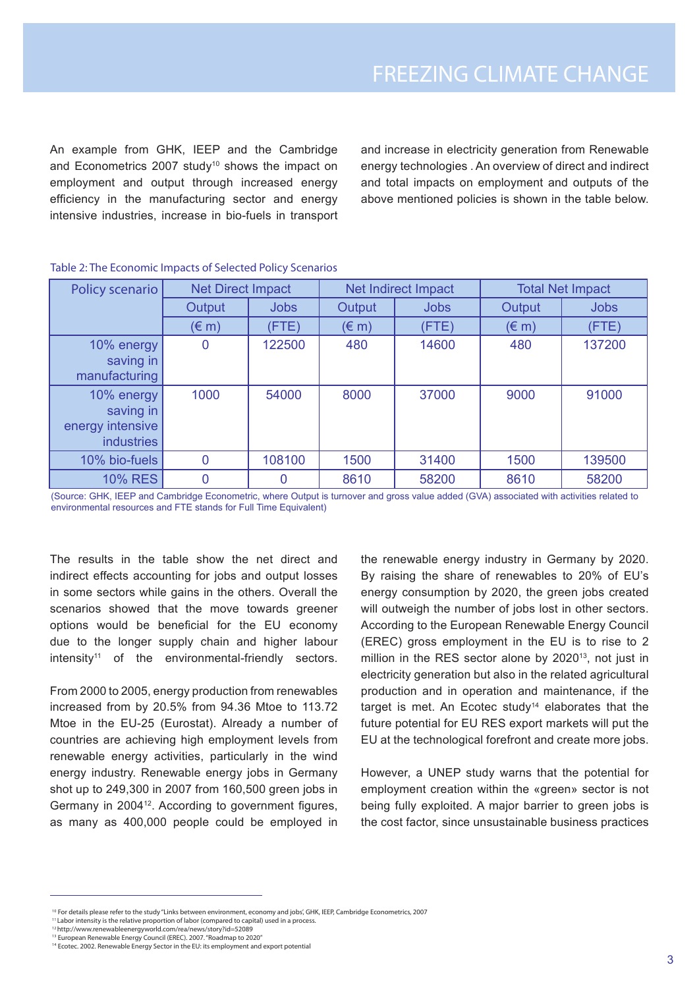An example from GHK, IEEP and the Cambridge and Econometrics 2007 study<sup>10</sup> shows the impact on employment and output through increased energy efficiency in the manufacturing sector and energy intensive industries, increase in bio-fuels in transport and increase in electricity generation from Renewable energy technologies . An overview of direct and indirect and total impacts on employment and outputs of the above mentioned policies is shown in the table below.

| Policy scenario                                                  | <b>Net Direct Impact</b> |             | Net Indirect Impact |             | <b>Total Net Impact</b> |             |
|------------------------------------------------------------------|--------------------------|-------------|---------------------|-------------|-------------------------|-------------|
|                                                                  | Output                   | <b>Jobs</b> | Output              | <b>Jobs</b> | Output                  | <b>Jobs</b> |
|                                                                  | $(\in$ m)                | (FTE)       | $(\in$ m)           | (FTE)       | $(\in$ m)               | (FTE)       |
| 10% energy<br>saving in<br>manufacturing                         | O                        | 122500      | 480                 | 14600       | 480                     | 137200      |
| 10% energy<br>saving in<br>energy intensive<br><b>industries</b> | 1000                     | 54000       | 8000                | 37000       | 9000                    | 91000       |
| 10% bio-fuels                                                    | $\Omega$                 | 108100      | 1500                | 31400       | 1500                    | 139500      |
| <b>10% RES</b>                                                   |                          |             | 8610                | 58200       | 8610                    | 58200       |

### Table 2: The Economic Impacts of Selected Policy Scenarios

(Source: GHK, IEEP and Cambridge Econometric, where Output is turnover and gross value added (GVA) associated with activities related to environmental resources and FTE stands for Full Time Equivalent)

The results in the table show the net direct and indirect effects accounting for jobs and output losses in some sectors while gains in the others. Overall the scenarios showed that the move towards greener options would be beneficial for the EU economy due to the longer supply chain and higher labour  $intensity<sup>11</sup>$  of the environmental-friendly sectors.

From 2000 to 2005, energy production from renewables increased from by 20.5% from 94.36 Mtoe to 113.72 Mtoe in the EU-25 (Eurostat). Already a number of countries are achieving high employment levels from renewable energy activities, particularly in the wind energy industry. Renewable energy jobs in Germany shot up to 249,300 in 2007 from 160,500 green jobs in Germany in 2004<sup>12</sup>. According to government figures, as many as 400,000 people could be employed in

the renewable energy industry in Germany by 2020. By raising the share of renewables to 20% of EU's energy consumption by 2020, the green jobs created will outweigh the number of jobs lost in other sectors. According to the European Renewable Energy Council (EREC) gross employment in the EU is to rise to 2 million in the RES sector alone by 2020<sup>13</sup>, not just in electricity generation but also in the related agricultural production and in operation and maintenance, if the target is met. An Ecotec study<sup>14</sup> elaborates that the future potential for EU RES export markets will put the EU at the technological forefront and create more jobs.

However, a UNEP study warns that the potential for employment creation within the «green» sector is not being fully exploited. A major barrier to green jobs is the cost factor, since unsustainable business practices

<sup>&</sup>lt;sup>10</sup> For details please refer to the study "Links between environment, economy and jobs', GHK, IEEP, Cambridge Econometrics, 2007

<sup>11</sup> Labor intensity is the relative proportion of labor (compared to capital) used in a process.

<sup>12</sup> http://www.renewableenergyworld.com/rea/news/story?id=52089

<sup>&</sup>lt;sup>13</sup> European Renewable Energy Council (EREC). 2007. "Roadmap to 2020"<br><sup>14</sup> Ecotec. 2002. Renewable Energy Sector in the EU: its employment and export potential